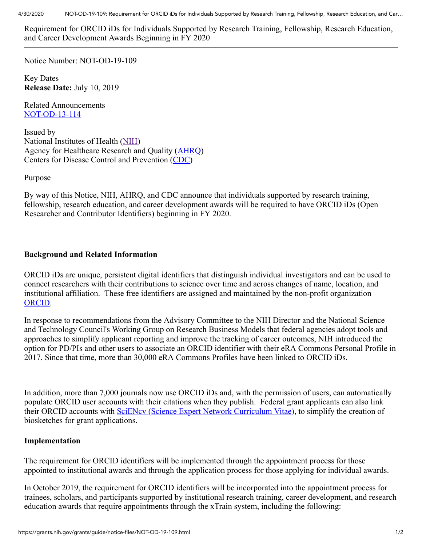Requirement for ORCID iDs for Individuals Supported by Research Training, Fellowship, Research Education, and Career Development Awards Beginning in FY 2020

Notice Number: NOT-OD-19-109

Key Dates **Release Date:** July 10, 2019

Related Announcements [NOT-OD-13-114](https://grants.nih.gov/grants/guide/notice-files/NOT-OD-13-114.html)

Issued by National Institutes of Health [\(NIH\)](http://www.nih.gov/) Agency for Healthcare Research and Quality ([AHRQ\)](https://www.ahrq.gov/) Centers for Disease Control and Prevention ([CDC\)](https://www.cdc.gov/)

Purpose

By way of this Notice, NIH, AHRQ, and CDC announce that individuals supported by research training, fellowship, research education, and career development awards will be required to have ORCID iDs (Open Researcher and Contributor Identifiers) beginning in FY 2020.

## **Background and Related Information**

ORCID iDs are unique, persistent digital identifiers that distinguish individual investigators and can be used to connect researchers with their contributions to science over time and across changes of name, location, and institutional affiliation. These free identifiers are assigned and maintained by the non-profit organization [ORCID](https://orcid.org/).

In response to recommendations from the Advisory Committee to the NIH Director and the National Science and Technology Council's Working Group on Research Business Models that federal agencies adopt tools and approaches to simplify applicant reporting and improve the tracking of career outcomes, NIH introduced the option for PD/PIs and other users to associate an ORCID identifier with their eRA Commons Personal Profile in 2017. Since that time, more than 30,000 eRA Commons Profiles have been linked to ORCID iDs.

In addition, more than 7,000 journals now use ORCID iDs and, with the permission of users, can automatically populate ORCID user accounts with their citations when they publish. Federal grant applicants can also link their ORCID accounts with **SciENcv** (Science Expert Network Curriculum Vitae), to simplify the creation of biosketches for grant applications.

## **Implementation**

The requirement for ORCID identifiers will be implemented through the appointment process for those appointed to institutional awards and through the application process for those applying for individual awards.

In October 2019, the requirement for ORCID identifiers will be incorporated into the appointment process for trainees, scholars, and participants supported by institutional research training, career development, and research education awards that require appointments through the xTrain system, including the following: